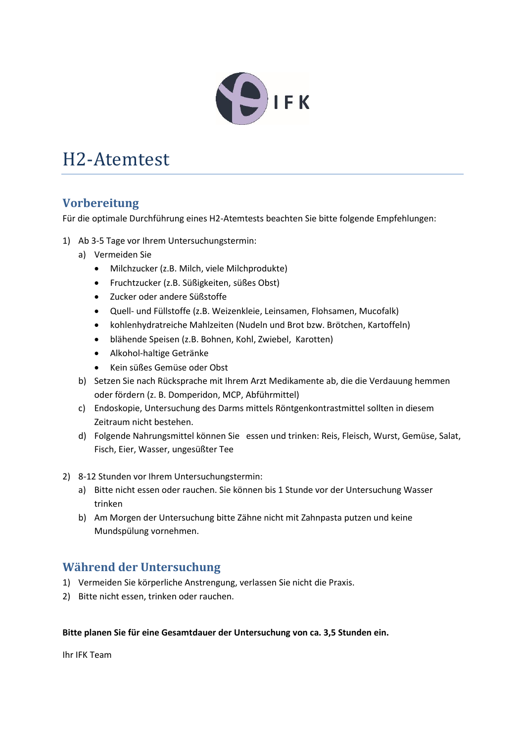

## H2-Atemtest

## **Vorbereitung**

Für die optimale Durchführung eines H2-Atemtests beachten Sie bitte folgende Empfehlungen:

- 1) Ab 3-5 Tage vor Ihrem Untersuchungstermin:
	- a) Vermeiden Sie
		- Milchzucker (z.B. Milch, viele Milchprodukte)
		- Fruchtzucker (z.B. Süßigkeiten, süßes Obst)
		- Zucker oder andere Süßstoffe
		- Quell- und Füllstoffe (z.B. Weizenkleie, Leinsamen, Flohsamen, Mucofalk)
		- kohlenhydratreiche Mahlzeiten (Nudeln und Brot bzw. Brötchen, Kartoffeln)
		- blähende Speisen (z.B. Bohnen, Kohl, Zwiebel, Karotten)
		- Alkohol-haltige Getränke
		- Kein süßes Gemüse oder Obst
	- b) Setzen Sie nach Rücksprache mit Ihrem Arzt Medikamente ab, die die Verdauung hemmen oder fördern (z. B. Domperidon, MCP, Abführmittel)
	- c) Endoskopie, Untersuchung des Darms mittels Röntgenkontrastmittel sollten in diesem Zeitraum nicht bestehen.
	- d) Folgende Nahrungsmittel können Sie essen und trinken: Reis, Fleisch, Wurst, Gemüse, Salat, Fisch, Eier, Wasser, ungesüßter Tee
- 2) 8-12 Stunden vor Ihrem Untersuchungstermin:
	- a) Bitte nicht essen oder rauchen. Sie können bis 1 Stunde vor der Untersuchung Wasser trinken
	- b) Am Morgen der Untersuchung bitte Zähne nicht mit Zahnpasta putzen und keine Mundspülung vornehmen.

## **Während der Untersuchung**

- 1) Vermeiden Sie körperliche Anstrengung, verlassen Sie nicht die Praxis.
- 2) Bitte nicht essen, trinken oder rauchen.

#### **Bitte planen Sie für eine Gesamtdauer der Untersuchung von ca. 3,5 Stunden ein.**

Ihr IFK Team